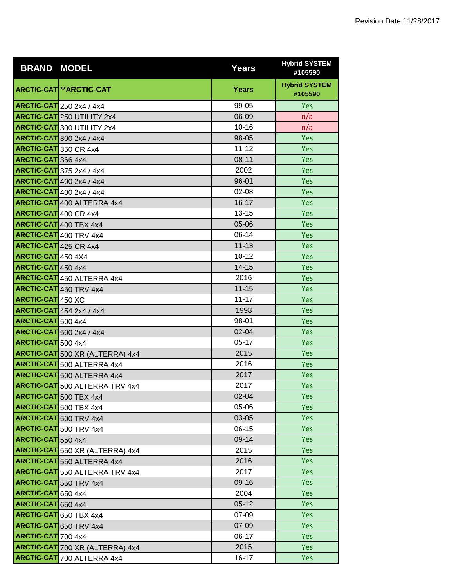| <b>BRAND MODEL</b>           |                                        | <b>Years</b> | <b>Hybrid SYSTEM</b><br>#105590 |
|------------------------------|----------------------------------------|--------------|---------------------------------|
|                              | ARCTIC-CAT **ARCTIC-CAT                | Years        | <b>Hybrid SYSTEM</b><br>#105590 |
|                              | <b>ARCTIC-CAT</b> 250 2x4 / 4x4        | 99-05        | Yes                             |
|                              | <b>ARCTIC-CAT</b> 250 UTILITY 2x4      | 06-09        | n/a                             |
|                              | <b>ARCTIC-CAT</b> 300 UTILITY 2x4      | $10 - 16$    | n/a                             |
|                              | <b>ARCTIC-CAT</b> 300 2x4 / 4x4        | 98-05        | Yes                             |
| ARCTIC-CAT 350 CR 4x4        |                                        | $11 - 12$    | Yes                             |
| ARCTIC-CAT 366 4x4           |                                        | $08 - 11$    | <b>Yes</b>                      |
|                              | <b>ARCTIC-CAT</b> 375 2x4 / 4x4        | 2002         | Yes                             |
|                              | <b>ARCTIC-CAT</b> 400 2x4 / 4x4        | $96 - 01$    | <b>Yes</b>                      |
|                              | <b>ARCTIC-CAT</b> 400 2x4 / 4x4        | $02 - 08$    | Yes                             |
|                              | <b>ARCTIC-CAT</b> 400 ALTERRA 4x4      | $16 - 17$    | Yes                             |
| <b>ARCTIC-CAT</b> 400 CR 4x4 |                                        | $13 - 15$    | Yes                             |
|                              | <b>ARCTIC-CAT</b> 400 TBX 4x4          | $05 - 06$    | <b>Yes</b>                      |
|                              | <b>ARCTIC-CAT</b> 400 TRV 4x4          | $06-14$      | Yes                             |
| <b>ARCTIC-CAT</b> 425 CR 4x4 |                                        | $11 - 13$    | Yes                             |
| ARCTIC-CAT 450 4X4           |                                        | $10 - 12$    | Yes                             |
| ARCTIC-CAT 450 4x4           |                                        | 14-15        | Yes                             |
|                              | <b>ARCTIC-CAT</b> 450 ALTERRA 4x4      | 2016         | Yes                             |
|                              | ARCTIC-CAT 450 TRV 4x4                 | $11 - 15$    | <b>Yes</b>                      |
| <b>ARCTIC-CAT 450 XC</b>     |                                        | $11 - 17$    | Yes                             |
|                              | <b>ARCTIC-CAT</b> 454 2x4 / 4x4        | 1998         | Yes                             |
| ARCTIC-CAT 500 4x4           |                                        | 98-01        | Yes                             |
|                              | <b>ARCTIC-CAT</b> 500 2x4 / 4x4        | $02 - 04$    | <b>Yes</b>                      |
| ARCTIC-CAT 500 4x4           |                                        | $05-17$      | Yes                             |
|                              | <b>ARCTIC-CAT</b> 500 XR (ALTERRA) 4x4 | 2015         | <b>Yes</b>                      |
|                              | <b>ARCTIC-CAT</b> 500 ALTERRA 4x4      | 2016         | Yes                             |
|                              | <b>ARCTIC-CAT</b> 500 ALTERRA 4x4      | 2017         | Yes                             |
|                              | <b>ARCTIC-CAT</b> 500 ALTERRA TRV 4x4  | 2017         | Yes                             |
|                              | <b>ARCTIC-CAT</b> 500 TBX 4x4          | 02-04        | <b>Yes</b>                      |
|                              | <b>ARCTIC-CAT</b> 500 TBX 4x4          | 05-06        | Yes                             |
|                              | ARCTIC-CAT 500 TRV 4x4                 | 03-05        | <b>Yes</b>                      |
|                              | <b>ARCTIC-CAT</b> 500 TRV 4x4          | $06-15$      | Yes                             |
| ARCTIC-CAT 550 4x4           |                                        | 09-14        | Yes                             |
|                              | <b>ARCTIC-CAT</b> 550 XR (ALTERRA) 4x4 | 2015         | <b>Yes</b>                      |
|                              | <b>ARCTIC-CAT</b> 550 ALTERRA 4x4      | 2016         | Yes                             |
|                              | <b>ARCTIC-CAT</b> 550 ALTERRA TRV 4x4  | 2017         | <b>Yes</b>                      |
|                              | <b>ARCTIC-CAT</b> 550 TRV 4x4          | 09-16        | Yes                             |
| ARCTIC-CAT 650 4x4           |                                        | 2004         | <b>Yes</b>                      |
| ARCTIC-CAT 650 4x4           |                                        | $05 - 12$    | Yes                             |
|                              | <b>ARCTIC-CAT</b> 650 TBX 4x4          | 07-09        | Yes                             |
|                              | ARCTIC-CAT 650 TRV 4x4                 | 07-09        | <b>Yes</b>                      |
| ARCTIC-CAT 700 4x4           |                                        | 06-17        | Yes                             |
|                              | ARCTIC-CAT 700 XR (ALTERRA) 4x4        | 2015         | <b>Yes</b>                      |
|                              | <b>ARCTIC-CAT</b> 700 ALTERRA 4x4      | $16 - 17$    | <b>Yes</b>                      |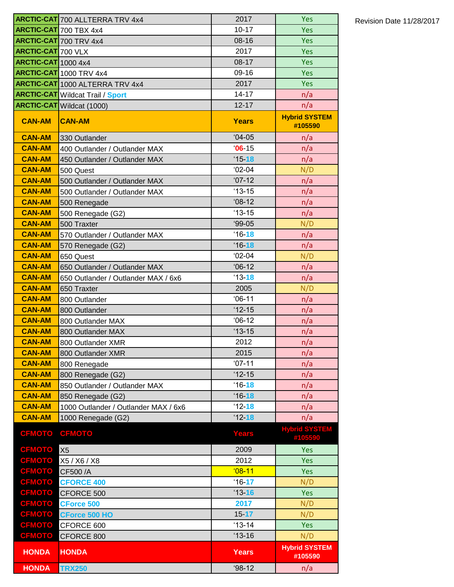|                                | <b>ARCTIC-CAT</b> 700 ALLTERRA TRV 4x4  | 2017             | Yes                             |
|--------------------------------|-----------------------------------------|------------------|---------------------------------|
|                                | <b>ARCTIC-CAT</b> 700 TBX 4x4           | $10 - 17$        | Yes                             |
|                                | <b>ARCTIC-CAT</b> 700 TRV 4x4           | $08 - 16$        | Yes                             |
| <b>ARCTIC-CAT 700 VLX</b>      |                                         | 2017             | Yes                             |
| <b>ARCTIC-CAT</b> 1000 4x4     |                                         | $08 - 17$        | Yes                             |
|                                | <b>ARCTIC-CAT</b> 1000 TRV 4x4          | 09-16            | Yes                             |
|                                | <b>ARCTIC-CAT</b> 1000 ALTERRA TRV 4x4  | 2017             | Yes                             |
|                                | <b>ARCTIC-CAT</b> Wildcat Trail / Sport | $14 - 17$        | n/a                             |
|                                | <b>ARCTIC-CAT</b> Wildcat (1000)        | $12 - 17$        | n/a                             |
| <b>CAN-AM</b>                  | <b>CAN-AM</b>                           | <b>Years</b>     | <b>Hybrid SYSTEM</b><br>#105590 |
| <b>CAN-AM</b>                  | 330 Outlander                           | $04-05$          | n/a                             |
| <b>CAN-AM</b>                  | 400 Outlander / Outlander MAX           | $06 - 15$        | n/a                             |
| <b>CAN-AM</b>                  | 450 Outlander / Outlander MAX           | $15 - 18$        | n/a                             |
| <b>CAN-AM</b>                  | 500 Quest                               | $02-04$          | N/D                             |
| <b>CAN-AM</b>                  | 500 Outlander / Outlander MAX           | $'07-12$         | n/a                             |
| <b>CAN-AM</b>                  | 500 Outlander / Outlander MAX           | $13 - 15$        | n/a                             |
| <b>CAN-AM</b>                  | 500 Renegade                            | $'08-12$         | n/a                             |
| <b>CAN-AM</b>                  | 500 Renegade (G2)                       | $13 - 15$        | n/a                             |
| <b>CAN-AM</b>                  | 500 Traxter                             | $99-05$          | N/D                             |
| <b>CAN-AM</b>                  | 570 Outlander / Outlander MAX           | $16 - 18$        | n/a                             |
| <b>CAN-AM</b>                  | 570 Renegade (G2)                       | $16 - 18$        | n/a                             |
| <b>CAN-AM</b>                  | 650 Quest                               | $02-04$          | N/D                             |
| <b>CAN-AM</b>                  | 650 Outlander / Outlander MAX           | $06-12$          | n/a                             |
| <b>CAN-AM</b>                  | 650 Outlander / Outlander MAX / 6x6     | $13 - 18$        | n/a                             |
| <b>CAN-AM</b>                  | 650 Traxter                             | 2005             | N/D                             |
| <b>CAN-AM</b>                  | 800 Outlander                           | $06-11$          | n/a                             |
| <b>CAN-AM</b>                  | 800 Outlander                           | $12 - 15$        | n/a                             |
| <b>CAN-AM</b>                  | 800 Outlander MAX                       | $06-12$          | n/a                             |
| <b>CAN-AM</b>                  | 800 Outlander MAX                       | $13 - 15$        | n/a                             |
| <b>CAN-AM</b>                  | 800 Outlander XMR                       | 2012             | n/a                             |
| <b>CAN-AM</b><br><b>CAN-AM</b> | 800 Outlander XMR                       | 2015<br>$'07-11$ | n/a<br>n/a                      |
| <b>CAN-AM</b>                  | 800 Renegade<br>800 Renegade (G2)       | $'12-15$         | n/a                             |
| <b>CAN-AM</b>                  | 850 Outlander / Outlander MAX           | $16 - 18$        | n/a                             |
| <b>CAN-AM</b>                  | 850 Renegade (G2)                       | $16 - 18$        | n/a                             |
| <b>CAN-AM</b>                  | 1000 Outlander / Outlander MAX / 6x6    | $12 - 18$        | n/a                             |
| <b>CAN-AM</b>                  | 1000 Renegade (G2)                      | $12 - 18$        | n/a                             |
|                                |                                         |                  | <b>Hybrid SYSTEM</b>            |
| <b>CFMOTO</b>                  | <b>CFMOTO</b>                           | <b>Years</b>     | #105590                         |
| <b>CFMOTO</b>                  | X <sub>5</sub>                          | 2009             | Yes                             |
| <b>CFMOTO</b>                  | X5 / X6 / X8                            | 2012             | Yes                             |
| <b>CFMOTO</b>                  | CF500 /A                                | $08-11$          | Yes                             |
| CFMOTO                         | <b>CFORCE 400</b>                       | $16 - 17$        | N/D                             |
| <b>CFMOTO</b>                  | CFORCE 500                              | $13 - 16$        | Yes                             |
| <b>CFMOTO</b>                  | <b>CForce 500</b>                       | 2017             | N/D                             |
| CFMOTO                         | <b>CForce 500 HO</b>                    | $15 - 17$        | N/D                             |
| <b>CFMOTO</b>                  | CFORCE 600                              | $13 - 14$        | Yes                             |
| <b>CFMOTO</b>                  | CFORCE 800                              | $13 - 16$        | N/D                             |
| <b>HONDA</b>                   | <b>HONDA</b>                            | <b>Years</b>     | <b>Hybrid SYSTEM</b><br>#105590 |
| <b>HONDA</b>                   | <b>TRX250</b>                           | $98-12$          | n/a                             |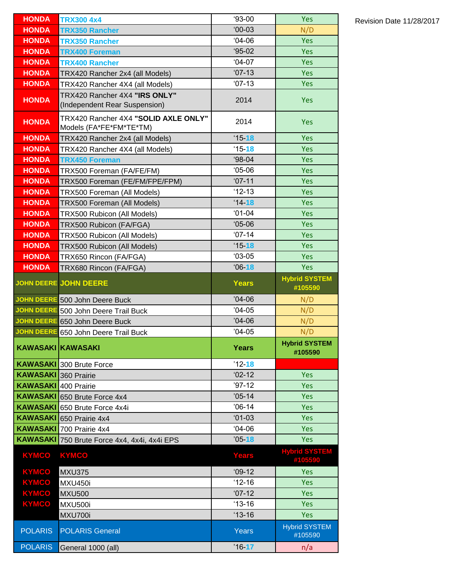| <b>HONDA</b>                | <b>TRX300 4x4</b>                                               | $93-00$      | Yes                             |
|-----------------------------|-----------------------------------------------------------------|--------------|---------------------------------|
| <b>HONDA</b>                | <b>TRX350 Rancher</b>                                           | $00-03$      | N/D                             |
| <b>HONDA</b>                | <b>TRX350 Rancher</b>                                           | $04 - 06$    | Yes                             |
| <b>HONDA</b>                | <b>TRX400 Foreman</b>                                           | $95-02$      | Yes                             |
| <b>HONDA</b>                | <b>TRX400 Rancher</b>                                           | $04-07$      | Yes                             |
| <b>HONDA</b>                | TRX420 Rancher 2x4 (all Models)                                 | $'07-13$     | Yes                             |
| <b>HONDA</b>                | TRX420 Rancher 4X4 (all Models)                                 | $'07-13$     | <b>Yes</b>                      |
| <b>HONDA</b>                | TRX420 Rancher 4X4 "IRS ONLY"                                   | 2014         | Yes                             |
|                             | (Independent Rear Suspension)                                   |              |                                 |
| <b>HONDA</b>                | TRX420 Rancher 4X4 "SOLID AXLE ONLY"<br>Models (FA*FE*FM*TE*TM) | 2014         | <b>Yes</b>                      |
| <b>HONDA</b>                | TRX420 Rancher 2x4 (all Models)                                 | $15 - 18$    | Yes                             |
| <b>HONDA</b>                | TRX420 Rancher 4X4 (all Models)                                 | $15 - 18$    | <b>Yes</b>                      |
| <b>HONDA</b>                | <b>TRX450 Foreman</b>                                           | $98-04$      | <b>Yes</b>                      |
| <b>HONDA</b>                | TRX500 Foreman (FA/FE/FM)                                       | $05-06$      | <b>Yes</b>                      |
| <b>HONDA</b>                | TRX500 Foreman (FE/FM/FPE/FPM)                                  | $'07-11$     | Yes                             |
| <b>HONDA</b>                | TRX500 Foreman (All Models)                                     | $'12-13$     | <b>Yes</b>                      |
| <b>HONDA</b>                | TRX500 Foreman (All Models)                                     | $'14 - 18$   | <b>Yes</b>                      |
| <b>HONDA</b>                | TRX500 Rubicon (All Models)                                     | $01-04$      | <b>Yes</b>                      |
| <b>HONDA</b>                | TRX500 Rubicon (FA/FGA)                                         | $05-06$      | <b>Yes</b>                      |
| <b>HONDA</b>                | TRX500 Rubicon (All Models)                                     | $'07-14$     | <b>Yes</b>                      |
| <b>HONDA</b>                | TRX500 Rubicon (All Models)                                     | $15 - 18$    | Yes                             |
| <b>HONDA</b>                | TRX650 Rincon (FA/FGA)                                          | $'03-05$     | <b>Yes</b>                      |
| <b>HONDA</b>                | TRX680 Rincon (FA/FGA)                                          | $06 - 18$    | Yes                             |
|                             | <b>JOHN DEERE JOHN DEERE</b>                                    | <b>Years</b> | <b>Hybrid SYSTEM</b><br>#105590 |
|                             | JOHN DEERE 500 John Deere Buck                                  | $'04-06$     | N/D                             |
|                             | JOHN DEERE 500 John Deere Trail Buck                            | $'04-05$     | N/D                             |
|                             | JOHN DEERE 650 John Deere Buck                                  | $'04-06$     | N/D                             |
|                             | JOHN DEERE 650 John Deere Trail Buck                            | $'04-05$     | N/D                             |
|                             | <b>KAWASAKI KAWASAKI</b>                                        | <b>Years</b> | <b>Hybrid SYSTEM</b><br>#105590 |
|                             | <b>KAWASAKI</b> 300 Brute Force                                 | $'12 - 18$   |                                 |
| <b>KAWASAKI</b> 360 Prairie |                                                                 | $'02-12$     | Yes                             |
| <b>KAWASAKI</b> 400 Prairie |                                                                 | $'97-12$     | <b>Yes</b>                      |
|                             | <b>KAWASAKI</b> 650 Brute Force 4x4                             | $'05-14$     | <b>Yes</b>                      |
| <b>KAWASAKI</b>             | 650 Brute Force 4x4i                                            | $'06-14$     | <b>Yes</b>                      |
| <b>KAWASAKI</b>             | 650 Prairie 4x4                                                 | $01 - 03$    | Yes                             |
| <b>KAWASAKI</b>             | 700 Prairie 4x4                                                 | $04-06$      | Yes                             |
| <b>KAWASAKI</b>             | 750 Brute Force 4x4, 4x4i, 4x4i EPS                             | $'05 - 18$   | Yes                             |
| <b>KYMCO</b>                | <b>KYMCO</b>                                                    | <b>Years</b> | <b>Hybrid SYSTEM</b><br>#105590 |
| <b>KYMCO</b>                | <b>MXU375</b>                                                   | $'09-12$     | Yes                             |
| KYMCO                       | <b>MXU450i</b>                                                  | $'12-16$     | Yes                             |
| KYMCO                       | <b>MXU500</b>                                                   | $'07-12$     | <b>Yes</b>                      |
| <b>KYMCO</b>                | <b>MXU500i</b>                                                  | $13 - 16$    | Yes                             |
|                             | MXU700i                                                         | $'13-16$     | Yes                             |
|                             |                                                                 |              |                                 |
| <b>POLARIS</b>              | <b>POLARIS General</b>                                          | <b>Years</b> | <b>Hybrid SYSTEM</b><br>#105590 |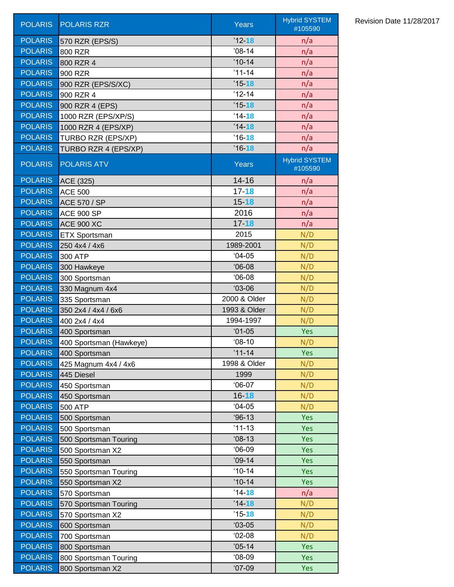| <b>POLARIS</b> | <b>POLARIS RZR</b>      | <b>Years</b> | <b>Hybrid SYSTEM</b><br>#105590 |
|----------------|-------------------------|--------------|---------------------------------|
| <b>POLARIS</b> | 570 RZR (EPS/S)         | $'12 - 18$   | n/a                             |
| <b>POLARIS</b> | 800 RZR                 | $'08-14$     | n/a                             |
| <b>POLARIS</b> | 800 RZR 4               | $'10-14$     | n/a                             |
| <b>POLARIS</b> | 900 RZR                 | $'11-14$     | n/a                             |
| <b>POLARIS</b> | 900 RZR (EPS/S/XC)      | $'15 - 18$   | n/a                             |
| <b>POLARIS</b> | 900 RZR 4               | $'12-14$     | n/a                             |
| <b>POLARIS</b> | 900 RZR 4 (EPS)         | $'15 - 18$   | n/a                             |
| <b>POLARIS</b> | 1000 RZR (EPS/XP/S)     | $'14 - 18$   | n/a                             |
| <b>POLARIS</b> | 1000 RZR 4 (EPS/XP)     | $'14 - 18$   | n/a                             |
| <b>POLARIS</b> | TURBO RZR (EPS/XP)      | $'16 - 18$   | n/a                             |
| <b>POLARIS</b> | TURBO RZR 4 (EPS/XP)    | $'16 - 18$   | n/a                             |
| <b>POLARIS</b> | <b>POLARIS ATV</b>      | Years        | <b>Hybrid SYSTEM</b><br>#105590 |
| <b>POLARIS</b> | ACE (325)               | $14 - 16$    | n/a                             |
| <b>POLARIS</b> | <b>ACE 500</b>          | $17 - 18$    | n/a                             |
| <b>POLARIS</b> | <b>ACE 570 / SP</b>     | $15 - 18$    | n/a                             |
| <b>POLARIS</b> | <b>ACE 900 SP</b>       | 2016         | n/a                             |
| <b>POLARIS</b> | <b>ACE 900 XC</b>       | $17 - 18$    | n/a                             |
| <b>POLARIS</b> | <b>ETX Sportsman</b>    | 2015         | N/D                             |
| <b>POLARIS</b> | 250 4x4 / 4x6           | 1989-2001    | N/D                             |
| <b>POLARIS</b> | 300 ATP                 | $04-05$      | N/D                             |
| <b>POLARIS</b> | 300 Hawkeye             | $06-08$      | N/D                             |
| <b>POLARIS</b> | 300 Sportsman           | $06-08$      | N/D                             |
| <b>POLARIS</b> | 330 Magnum 4x4          | $03-06$      | N/D                             |
| <b>POLARIS</b> | 335 Sportsman           | 2000 & Older | N/D                             |
| <b>POLARIS</b> | 350 2x4 / 4x4 / 6x6     | 1993 & Older | N/D                             |
| <b>POLARIS</b> | 400 2x4 / 4x4           | 1994-1997    | N/D                             |
| <b>POLARIS</b> | 400 Sportsman           | $'01-05$     | Yes                             |
| <b>POLARIS</b> | 400 Sportsman (Hawkeye) | $08-10$      | N/D                             |
| <b>POLARIS</b> | 400 Sportsman           | $'11 - 14$   | <b>Yes</b>                      |
| <b>POLARIS</b> | 425 Magnum 4x4 / 4x6    | 1998 & Older | N/D                             |
| <b>POLARIS</b> | 445 Diesel              | 1999         | N/D                             |
| <b>POLARIS</b> | 450 Sportsman           | $06-07$      | N/D                             |
| <b>POLARIS</b> | 450 Sportsman           | $16 - 18$    | N/D                             |
| <b>POLARIS</b> | <b>500 ATP</b>          | $04-05$      | N/D                             |
| <b>POLARIS</b> | 500 Sportsman           | $96-13$      | Yes                             |
| <b>POLARIS</b> | 500 Sportsman           | $'11-13$     | Yes                             |
| <b>POLARIS</b> | 500 Sportsman Touring   | $'08-13$     | Yes                             |
| <b>POLARIS</b> | 500 Sportsman X2        | $06-09$      | Yes                             |
| <b>POLARIS</b> | 550 Sportsman           | $'09-14$     | Yes                             |
| <b>POLARIS</b> | 550 Sportsman Touring   | $10 - 14$    | Yes                             |
| <b>POLARIS</b> | 550 Sportsman X2        | $'10-14$     | Yes                             |
| <b>POLARIS</b> | 570 Sportsman           | $'14 - 18$   | n/a                             |
| <b>POLARIS</b> | 570 Sportsman Touring   | $'14 - 18$   | N/D                             |
| <b>POLARIS</b> | 570 Sportsman X2        | $'15 - 18$   | N/D                             |
| <b>POLARIS</b> | 600 Sportsman           | $03-05$      | N/D                             |
| <b>POLARIS</b> | 700 Sportsman           | $'02-08$     | N/D                             |
| <b>POLARIS</b> | 800 Sportsman           | $'05-14$     | Yes                             |
| <b>POLARIS</b> | 800 Sportsman Touring   | $08-09$      | Yes                             |
| <b>POLARIS</b> | 800 Sportsman X2        | $'07-09$     | <b>Yes</b>                      |

## Revision Date 11/28/2017